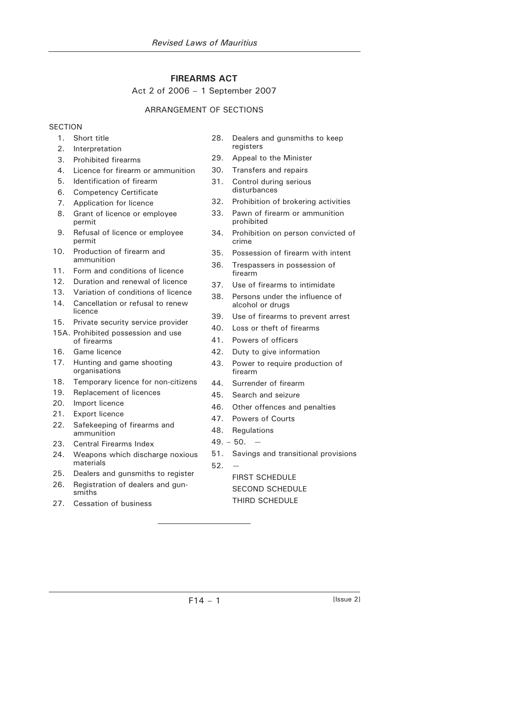# **FIREARMS ACT**

### Act 2 of 2006 – 1 September 2007

## ARRANGEMENT OF SECTIONS

# **SECTION**

- 1. Short title
- 2. Interpretation
- 3. Prohibited firearms
- 4. Licence for firearm or ammunition
- 5. Identification of firearm
- 6. Competency Certificate
- 7. Application for licence
- 8. Grant of licence or employee permit
- 9. Refusal of licence or employee permit
- 10. Production of firearm and ammunition
- 11. Form and conditions of licence
- 12. Duration and renewal of licence
- 13. Variation of conditions of licence
- 14. Cancellation or refusal to renew licence
- 15. Private security service provider
- 15A. Prohibited possession and use of firearms
- 16. Game licence
- 17. Hunting and game shooting organisations
- 18. Temporary licence for non-citizens
- 19. Replacement of licences
- 20. Import licence
- 21. Export licence
- 22. Safekeeping of firearms and ammunition
- 23. Central Firearms Index
- 24. Weapons which discharge noxious materials
- 25. Dealers and gunsmiths to register
- 26. Registration of dealers and gunsmiths
- 27. Cessation of business
- 28. Dealers and gunsmiths to keep registers
- 29. Appeal to the Minister
- 30. Transfers and repairs
- 31. Control during serious disturbances
- 32. Prohibition of brokering activities
- 33. Pawn of firearm or ammunition prohibited
- 34. Prohibition on person convicted of crime
- 35. Possession of firearm with intent
- 36. Trespassers in possession of firearm
- 37. Use of firearms to intimidate
- 38. Persons under the influence of alcohol or drugs
- 39. Use of firearms to prevent arrest
- 40. Loss or theft of firearms
- 41. Powers of officers
- 42. Duty to give information
- 43. Power to require production of firearm
- 44. Surrender of firearm
- 45. Search and seizure
- 46. Other offences and penalties
- 47. Powers of Courts
- 48. Regulations
- $49. 50. -$
- 51. Savings and transitional provisions

52. — FIRST SCHEDULE

SECOND SCHEDULE

THIRD SCHEDULE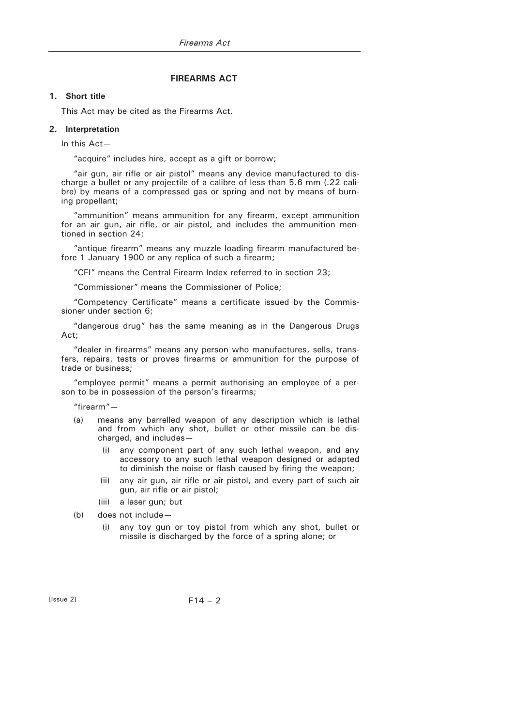# **FIREARMS ACT**

### **1. Short title**

This Act may be cited as the Firearms Act.

### **2. Interpretation**

In this Act—

"acquire" includes hire, accept as a gift or borrow;

"air gun, air rifle or air pistol" means any device manufactured to discharge a bullet or any projectile of a calibre of less than 5.6 mm (.22 calibre) by means of a compressed gas or spring and not by means of burning propellant;

"ammunition" means ammunition for any firearm, except ammunition for an air gun, air rifle, or air pistol, and includes the ammunition mentioned in section 24;

"antique firearm" means any muzzle loading firearm manufactured before 1 January 1900 or any replica of such a firearm;

"CFI" means the Central Firearm Index referred to in section 23;

"Commissioner" means the Commissioner of Police;

"Competency Certificate" means a certificate issued by the Commissioner under section 6;

"dangerous drug" has the same meaning as in the Dangerous Drugs Act;

"dealer in firearms" means any person who manufactures, sells, transfers, repairs, tests or proves firearms or ammunition for the purpose of trade or business;

"employee permit" means a permit authorising an employee of a person to be in possession of the person's firearms;

"firearm"—

- (a) means any barrelled weapon of any description which is lethal and from which any shot, bullet or other missile can be discharged, and includes—
	- (i) any component part of any such lethal weapon, and any accessory to any such lethal weapon designed or adapted to diminish the noise or flash caused by firing the weapon;
	- (ii) any air gun, air rifle or air pistol, and every part of such air gun, air rifle or air pistol;
	- (iii) a laser gun; but
- (b) does not include—
	- (i) any toy gun or toy pistol from which any shot, bullet or missile is discharged by the force of a spring alone; or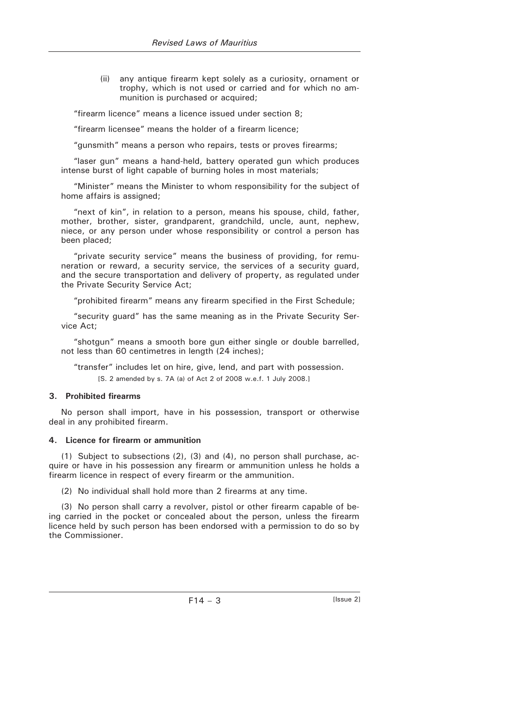(ii) any antique firearm kept solely as a curiosity, ornament or trophy, which is not used or carried and for which no ammunition is purchased or acquired;

"firearm licence" means a licence issued under section 8;

"firearm licensee" means the holder of a firearm licence;

"gunsmith" means a person who repairs, tests or proves firearms;

"laser gun" means a hand-held, battery operated gun which produces intense burst of light capable of burning holes in most materials;

"Minister" means the Minister to whom responsibility for the subject of home affairs is assigned;

"next of kin", in relation to a person, means his spouse, child, father, mother, brother, sister, grandparent, grandchild, uncle, aunt, nephew, niece, or any person under whose responsibility or control a person has been placed;

"private security service" means the business of providing, for remuneration or reward, a security service, the services of a security guard, and the secure transportation and delivery of property, as regulated under the Private Security Service Act;

"prohibited firearm" means any firearm specified in the First Schedule;

"security guard" has the same meaning as in the Private Security Service Act;

"shotgun" means a smooth bore gun either single or double barrelled, not less than 60 centimetres in length (24 inches);

"transfer" includes let on hire, give, lend, and part with possession. [S. 2 amended by s. 7A (a) of Act 2 of 2008 w.e.f. 1 July 2008.]

### **3. Prohibited firearms**

No person shall import, have in his possession, transport or otherwise deal in any prohibited firearm.

#### **4. Licence for firearm or ammunition**

(1) Subject to subsections (2), (3) and (4), no person shall purchase, acquire or have in his possession any firearm or ammunition unless he holds a firearm licence in respect of every firearm or the ammunition.

(2) No individual shall hold more than 2 firearms at any time.

(3) No person shall carry a revolver, pistol or other firearm capable of being carried in the pocket or concealed about the person, unless the firearm licence held by such person has been endorsed with a permission to do so by the Commissioner.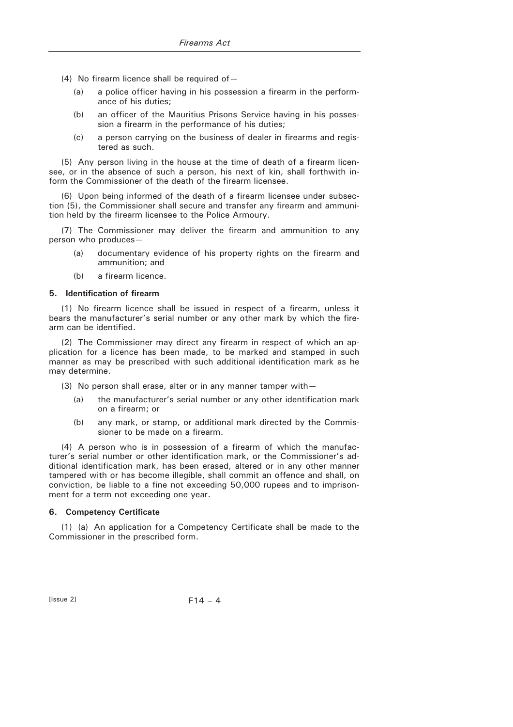- (4) No firearm licence shall be required of  $-$ 
	- (a) a police officer having in his possession a firearm in the performance of his duties;
	- (b) an officer of the Mauritius Prisons Service having in his possession a firearm in the performance of his duties;
	- (c) a person carrying on the business of dealer in firearms and registered as such.

(5) Any person living in the house at the time of death of a firearm licensee, or in the absence of such a person, his next of kin, shall forthwith inform the Commissioner of the death of the firearm licensee.

(6) Upon being informed of the death of a firearm licensee under subsection (5), the Commissioner shall secure and transfer any firearm and ammunition held by the firearm licensee to the Police Armoury.

(7) The Commissioner may deliver the firearm and ammunition to any person who produces—

- (a) documentary evidence of his property rights on the firearm and ammunition; and
- (b) a firearm licence.

#### **5. Identification of firearm**

(1) No firearm licence shall be issued in respect of a firearm, unless it bears the manufacturer's serial number or any other mark by which the firearm can be identified.

(2) The Commissioner may direct any firearm in respect of which an application for a licence has been made, to be marked and stamped in such manner as may be prescribed with such additional identification mark as he may determine.

- (3) No person shall erase, alter or in any manner tamper with—
	- (a) the manufacturer's serial number or any other identification mark on a firearm; or
	- (b) any mark, or stamp, or additional mark directed by the Commissioner to be made on a firearm.

(4) A person who is in possession of a firearm of which the manufacturer's serial number or other identification mark, or the Commissioner's additional identification mark, has been erased, altered or in any other manner tampered with or has become illegible, shall commit an offence and shall, on conviction, be liable to a fine not exceeding 50,000 rupees and to imprisonment for a term not exceeding one year.

#### **6. Competency Certificate**

(1) (a) An application for a Competency Certificate shall be made to the Commissioner in the prescribed form.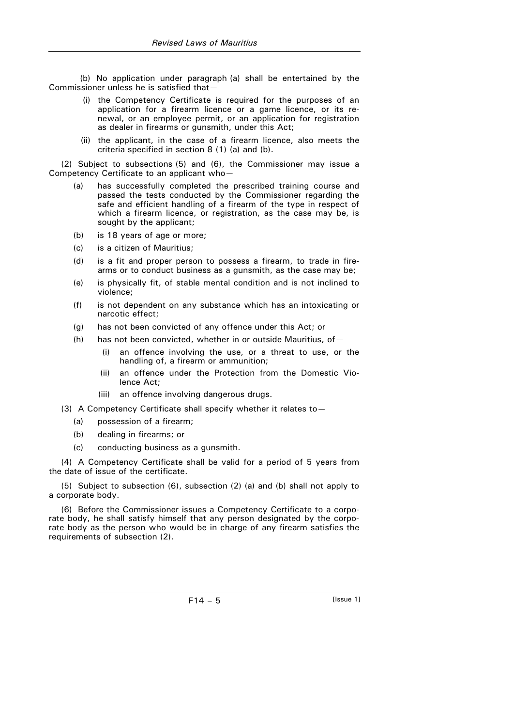(b) No application under paragraph (a) shall be entertained by the Commissioner unless he is satisfied that—

- (i) the Competency Certificate is required for the purposes of an application for a firearm licence or a game licence, or its renewal, or an employee permit, or an application for registration as dealer in firearms or gunsmith, under this Act;
- (ii) the applicant, in the case of a firearm licence, also meets the criteria specified in section 8 (1) (a) and (b).

(2) Subject to subsections (5) and (6), the Commissioner may issue a Competency Certificate to an applicant who—

- (a) has successfully completed the prescribed training course and passed the tests conducted by the Commissioner regarding the safe and efficient handling of a firearm of the type in respect of which a firearm licence, or registration, as the case may be, is sought by the applicant;
- (b) is 18 years of age or more;
- (c) is a citizen of Mauritius;
- (d) is a fit and proper person to possess a firearm, to trade in firearms or to conduct business as a gunsmith, as the case may be;
- (e) is physically fit, of stable mental condition and is not inclined to violence;
- (f) is not dependent on any substance which has an intoxicating or narcotic effect;
- (g) has not been convicted of any offence under this Act; or
- (h) has not been convicted, whether in or outside Mauritius, of  $-$ 
	- (i) an offence involving the use, or a threat to use, or the handling of, a firearm or ammunition;
	- (ii) an offence under the Protection from the Domestic Violence Act;
	- (iii) an offence involving dangerous drugs.
- (3) A Competency Certificate shall specify whether it relates to—
	- (a) possession of a firearm;
	- (b) dealing in firearms; or
	- (c) conducting business as a gunsmith.

(4) A Competency Certificate shall be valid for a period of 5 years from the date of issue of the certificate.

(5) Subject to subsection (6), subsection (2) (a) and (b) shall not apply to a corporate body.

(6) Before the Commissioner issues a Competency Certificate to a corporate body, he shall satisfy himself that any person designated by the corporate body as the person who would be in charge of any firearm satisfies the requirements of subsection (2).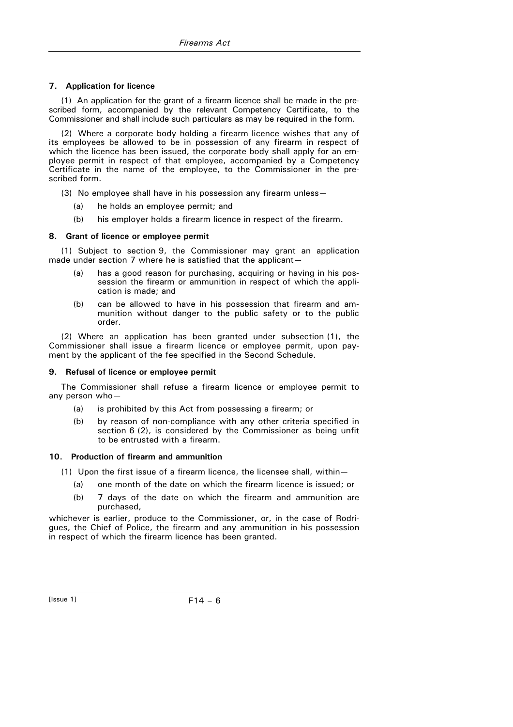### **7. Application for licence**

(1) An application for the grant of a firearm licence shall be made in the prescribed form, accompanied by the relevant Competency Certificate, to the Commissioner and shall include such particulars as may be required in the form.

(2) Where a corporate body holding a firearm licence wishes that any of its employees be allowed to be in possession of any firearm in respect of which the licence has been issued, the corporate body shall apply for an employee permit in respect of that employee, accompanied by a Competency Certificate in the name of the employee, to the Commissioner in the prescribed form.

- (3) No employee shall have in his possession any firearm unless—
	- (a) he holds an employee permit; and
	- (b) his employer holds a firearm licence in respect of the firearm.

#### **8. Grant of licence or employee permit**

(1) Subject to section 9, the Commissioner may grant an application made under section 7 where he is satisfied that the applicant-

- (a) has a good reason for purchasing, acquiring or having in his possession the firearm or ammunition in respect of which the application is made; and
- (b) can be allowed to have in his possession that firearm and ammunition without danger to the public safety or to the public order.

(2) Where an application has been granted under subsection (1), the Commissioner shall issue a firearm licence or employee permit, upon payment by the applicant of the fee specified in the Second Schedule.

#### **9. Refusal of licence or employee permit**

The Commissioner shall refuse a firearm licence or employee permit to any person who-

- (a) is prohibited by this Act from possessing a firearm; or
- (b) by reason of non-compliance with any other criteria specified in section 6 (2), is considered by the Commissioner as being unfit to be entrusted with a firearm.

#### **10. Production of firearm and ammunition**

- (1) Upon the first issue of a firearm licence, the licensee shall, within—
	- (a) one month of the date on which the firearm licence is issued; or
	- (b) 7 days of the date on which the firearm and ammunition are purchased,

whichever is earlier, produce to the Commissioner, or, in the case of Rodrigues, the Chief of Police, the firearm and any ammunition in his possession in respect of which the firearm licence has been granted.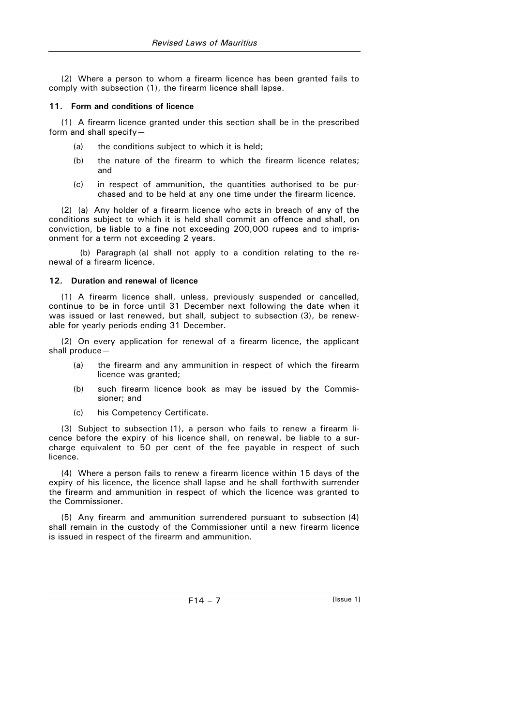(2) Where a person to whom a firearm licence has been granted fails to comply with subsection (1), the firearm licence shall lapse.

### **11. Form and conditions of licence**

(1) A firearm licence granted under this section shall be in the prescribed form and shall specify—

- (a) the conditions subject to which it is held;
- (b) the nature of the firearm to which the firearm licence relates; and
- (c) in respect of ammunition, the quantities authorised to be purchased and to be held at any one time under the firearm licence.

(2) (a) Any holder of a firearm licence who acts in breach of any of the conditions subject to which it is held shall commit an offence and shall, on conviction, be liable to a fine not exceeding 200,000 rupees and to imprisonment for a term not exceeding 2 years.

(b) Paragraph (a) shall not apply to a condition relating to the renewal of a firearm licence.

# **12. Duration and renewal of licence**

(1) A firearm licence shall, unless, previously suspended or cancelled, continue to be in force until 31 December next following the date when it was issued or last renewed, but shall, subject to subsection (3), be renewable for yearly periods ending 31 December.

(2) On every application for renewal of a firearm licence, the applicant shall produce—

- (a) the firearm and any ammunition in respect of which the firearm licence was granted;
- (b) such firearm licence book as may be issued by the Commissioner; and
- (c) his Competency Certificate.

(3) Subject to subsection (1), a person who fails to renew a firearm licence before the expiry of his licence shall, on renewal, be liable to a surcharge equivalent to 50 per cent of the fee payable in respect of such licence.

(4) Where a person fails to renew a firearm licence within 15 days of the expiry of his licence, the licence shall lapse and he shall forthwith surrender the firearm and ammunition in respect of which the licence was granted to the Commissioner.

(5) Any firearm and ammunition surrendered pursuant to subsection (4) shall remain in the custody of the Commissioner until a new firearm licence is issued in respect of the firearm and ammunition.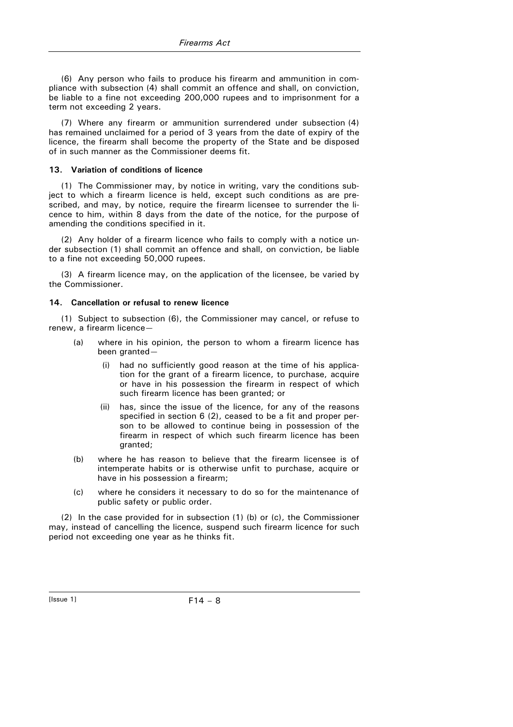(6) Any person who fails to produce his firearm and ammunition in compliance with subsection (4) shall commit an offence and shall, on conviction, be liable to a fine not exceeding 200,000 rupees and to imprisonment for a term not exceeding 2 years.

(7) Where any firearm or ammunition surrendered under subsection (4) has remained unclaimed for a period of 3 years from the date of expiry of the licence, the firearm shall become the property of the State and be disposed of in such manner as the Commissioner deems fit.

#### **13. Variation of conditions of licence**

(1) The Commissioner may, by notice in writing, vary the conditions subject to which a firearm licence is held, except such conditions as are prescribed, and may, by notice, require the firearm licensee to surrender the licence to him, within 8 days from the date of the notice, for the purpose of amending the conditions specified in it.

(2) Any holder of a firearm licence who fails to comply with a notice under subsection (1) shall commit an offence and shall, on conviction, be liable to a fine not exceeding 50,000 rupees.

(3) A firearm licence may, on the application of the licensee, be varied by the Commissioner.

#### **14. Cancellation or refusal to renew licence**

(1) Subject to subsection (6), the Commissioner may cancel, or refuse to renew, a firearm licence—

- (a) where in his opinion, the person to whom a firearm licence has been granted—
	- (i) had no sufficiently good reason at the time of his application for the grant of a firearm licence, to purchase, acquire or have in his possession the firearm in respect of which such firearm licence has been granted; or
	- (ii) has, since the issue of the licence, for any of the reasons specified in section 6 (2), ceased to be a fit and proper person to be allowed to continue being in possession of the firearm in respect of which such firearm licence has been granted;
- (b) where he has reason to believe that the firearm licensee is of intemperate habits or is otherwise unfit to purchase, acquire or have in his possession a firearm;
- (c) where he considers it necessary to do so for the maintenance of public safety or public order.

(2) In the case provided for in subsection (1) (b) or (c), the Commissioner may, instead of cancelling the licence, suspend such firearm licence for such period not exceeding one year as he thinks fit.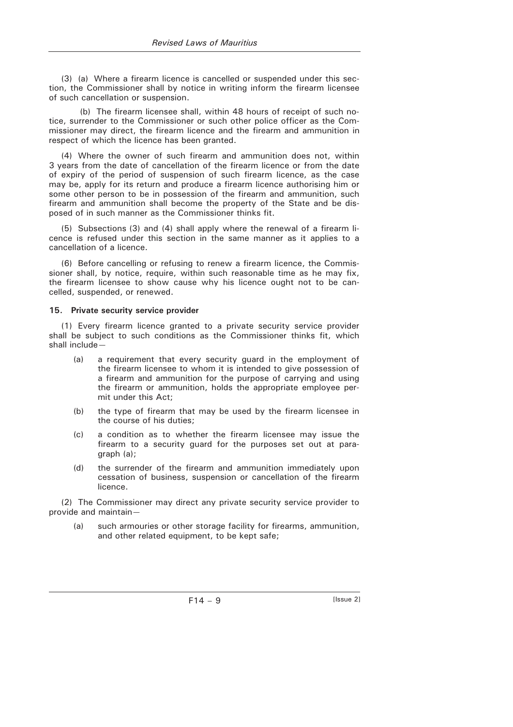(3) (a) Where a firearm licence is cancelled or suspended under this section, the Commissioner shall by notice in writing inform the firearm licensee of such cancellation or suspension.

(b) The firearm licensee shall, within 48 hours of receipt of such notice, surrender to the Commissioner or such other police officer as the Commissioner may direct, the firearm licence and the firearm and ammunition in respect of which the licence has been granted.

(4) Where the owner of such firearm and ammunition does not, within 3 years from the date of cancellation of the firearm licence or from the date of expiry of the period of suspension of such firearm licence, as the case may be, apply for its return and produce a firearm licence authorising him or some other person to be in possession of the firearm and ammunition, such firearm and ammunition shall become the property of the State and be disposed of in such manner as the Commissioner thinks fit.

(5) Subsections (3) and (4) shall apply where the renewal of a firearm licence is refused under this section in the same manner as it applies to a cancellation of a licence.

(6) Before cancelling or refusing to renew a firearm licence, the Commissioner shall, by notice, require, within such reasonable time as he may fix, the firearm licensee to show cause why his licence ought not to be cancelled, suspended, or renewed.

#### **15. Private security service provider**

(1) Every firearm licence granted to a private security service provider shall be subject to such conditions as the Commissioner thinks fit, which shall include—

- (a) a requirement that every security guard in the employment of the firearm licensee to whom it is intended to give possession of a firearm and ammunition for the purpose of carrying and using the firearm or ammunition, holds the appropriate employee permit under this Act;
- (b) the type of firearm that may be used by the firearm licensee in the course of his duties;
- (c) a condition as to whether the firearm licensee may issue the firearm to a security guard for the purposes set out at paragraph (a);
- (d) the surrender of the firearm and ammunition immediately upon cessation of business, suspension or cancellation of the firearm licence.

(2) The Commissioner may direct any private security service provider to provide and maintain—

 (a) such armouries or other storage facility for firearms, ammunition, and other related equipment, to be kept safe;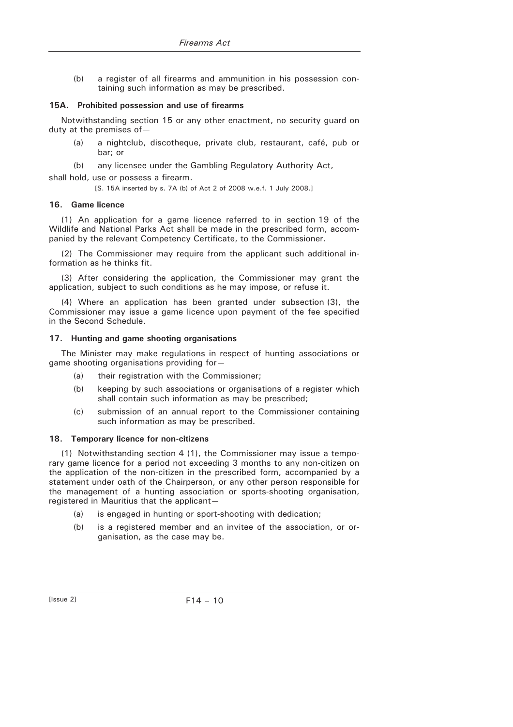(b) a register of all firearms and ammunition in his possession containing such information as may be prescribed.

#### **15A. Prohibited possession and use of firearms**

Notwithstanding section 15 or any other enactment, no security guard on duty at the premises of—

- (a) a nightclub, discotheque, private club, restaurant, café, pub or bar; or
- (b) any licensee under the Gambling Regulatory Authority Act,

shall hold, use or possess a firearm.

[S. 15A inserted by s. 7A (b) of Act 2 of 2008 w.e.f. 1 July 2008.]

#### **16. Game licence**

(1) An application for a game licence referred to in section 19 of the Wildlife and National Parks Act shall be made in the prescribed form, accompanied by the relevant Competency Certificate, to the Commissioner.

(2) The Commissioner may require from the applicant such additional information as he thinks fit.

(3) After considering the application, the Commissioner may grant the application, subject to such conditions as he may impose, or refuse it.

(4) Where an application has been granted under subsection (3), the Commissioner may issue a game licence upon payment of the fee specified in the Second Schedule.

#### **17. Hunting and game shooting organisations**

The Minister may make regulations in respect of hunting associations or game shooting organisations providing for—

- (a) their registration with the Commissioner:
- (b) keeping by such associations or organisations of a register which shall contain such information as may be prescribed;
- (c) submission of an annual report to the Commissioner containing such information as may be prescribed.

### **18. Temporary licence for non-citizens**

(1) Notwithstanding section 4 (1), the Commissioner may issue a temporary game licence for a period not exceeding 3 months to any non-citizen on the application of the non-citizen in the prescribed form, accompanied by a statement under oath of the Chairperson, or any other person responsible for the management of a hunting association or sports-shooting organisation, registered in Mauritius that the applicant—

- (a) is engaged in hunting or sport-shooting with dedication;
- (b) is a registered member and an invitee of the association, or organisation, as the case may be.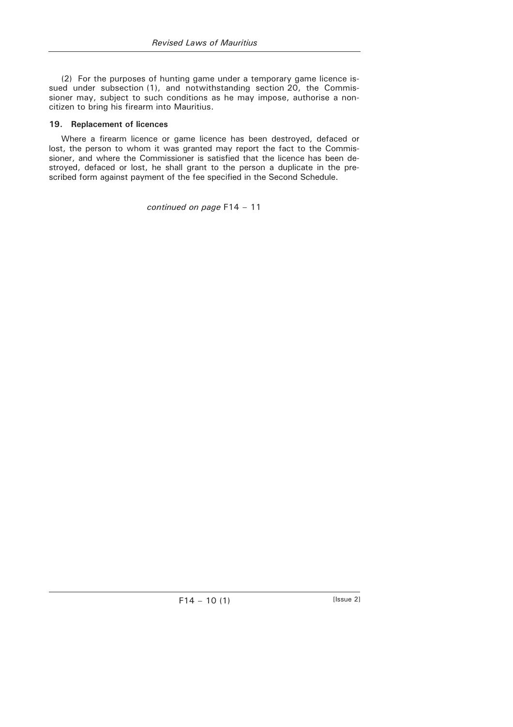(2) For the purposes of hunting game under a temporary game licence issued under subsection (1), and notwithstanding section 20, the Commissioner may, subject to such conditions as he may impose, authorise a noncitizen to bring his firearm into Mauritius.

### **19. Replacement of licences**

Where a firearm licence or game licence has been destroyed, defaced or lost, the person to whom it was granted may report the fact to the Commissioner, and where the Commissioner is satisfied that the licence has been destroyed, defaced or lost, he shall grant to the person a duplicate in the prescribed form against payment of the fee specified in the Second Schedule.

*continued on page* F14 – 11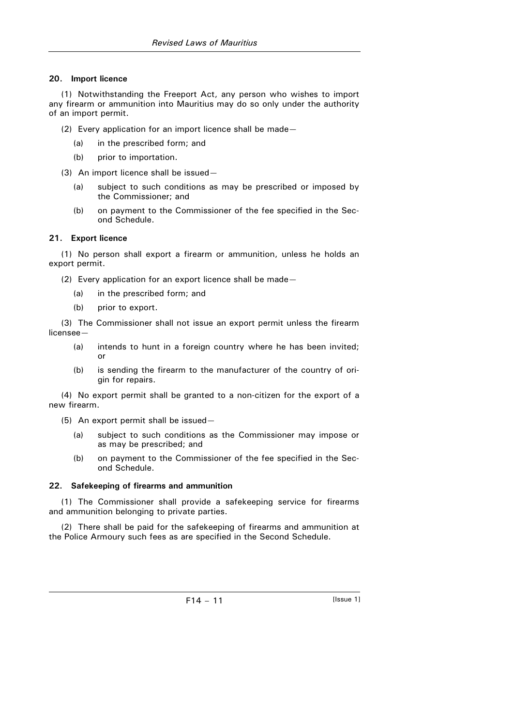### **20. Import licence**

(1) Notwithstanding the Freeport Act, any person who wishes to import any firearm or ammunition into Mauritius may do so only under the authority of an import permit.

(2) Every application for an import licence shall be made—

- (a) in the prescribed form; and
- (b) prior to importation.
- (3) An import licence shall be issued—
	- (a) subject to such conditions as may be prescribed or imposed by the Commissioner; and
	- (b) on payment to the Commissioner of the fee specified in the Second Schedule.

### **21. Export licence**

(1) No person shall export a firearm or ammunition, unless he holds an export permit.

(2) Every application for an export licence shall be made—

- (a) in the prescribed form; and
- (b) prior to export.

(3) The Commissioner shall not issue an export permit unless the firearm licensee—

- (a) intends to hunt in a foreign country where he has been invited; or
- (b) is sending the firearm to the manufacturer of the country of origin for repairs.

(4) No export permit shall be granted to a non-citizen for the export of a new firearm.

(5) An export permit shall be issued—

- (a) subject to such conditions as the Commissioner may impose or as may be prescribed; and
- (b) on payment to the Commissioner of the fee specified in the Second Schedule.

### **22. Safekeeping of firearms and ammunition**

(1) The Commissioner shall provide a safekeeping service for firearms and ammunition belonging to private parties.

(2) There shall be paid for the safekeeping of firearms and ammunition at the Police Armoury such fees as are specified in the Second Schedule.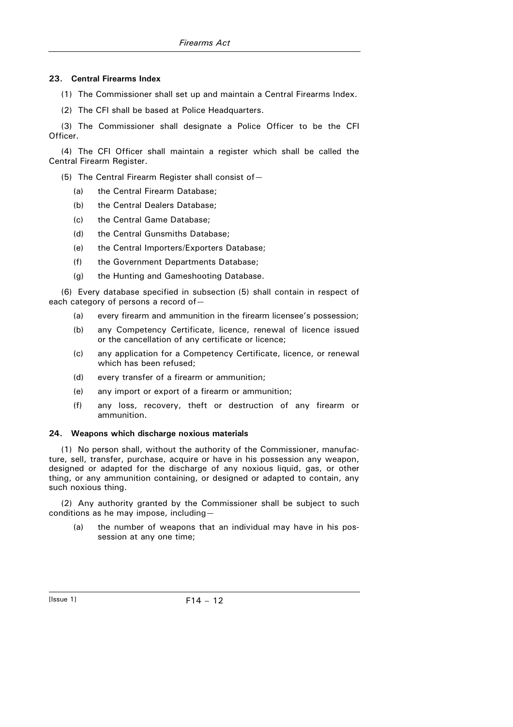## **23. Central Firearms Index**

- (1) The Commissioner shall set up and maintain a Central Firearms Index.
- (2) The CFI shall be based at Police Headquarters.

(3) The Commissioner shall designate a Police Officer to be the CFI Officer.

(4) The CFI Officer shall maintain a register which shall be called the Central Firearm Register.

(5) The Central Firearm Register shall consist of—

- (a) the Central Firearm Database;
- (b) the Central Dealers Database:
- (c) the Central Game Database;
- (d) the Central Gunsmiths Database;
- (e) the Central Importers/Exporters Database;
- (f) the Government Departments Database;
- (g) the Hunting and Gameshooting Database.

(6) Every database specified in subsection (5) shall contain in respect of each category of persons a record of—

- (a) every firearm and ammunition in the firearm licensee's possession;
- (b) any Competency Certificate, licence, renewal of licence issued or the cancellation of any certificate or licence;
- (c) any application for a Competency Certificate, licence, or renewal which has been refused;
- (d) every transfer of a firearm or ammunition;
- (e) any import or export of a firearm or ammunition;
- (f) any loss, recovery, theft or destruction of any firearm or ammunition.

### **24. Weapons which discharge noxious materials**

(1) No person shall, without the authority of the Commissioner, manufacture, sell, transfer, purchase, acquire or have in his possession any weapon, designed or adapted for the discharge of any noxious liquid, gas, or other thing, or any ammunition containing, or designed or adapted to contain, any such noxious thing.

(2) Any authority granted by the Commissioner shall be subject to such conditions as he may impose, including—

 (a) the number of weapons that an individual may have in his possession at any one time;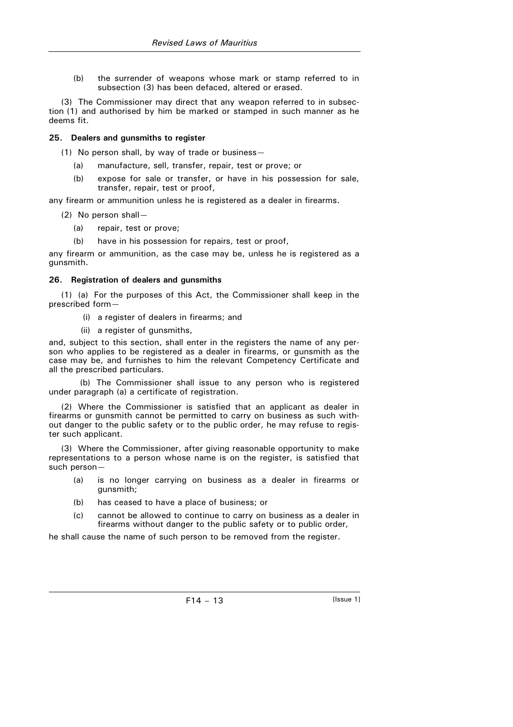(b) the surrender of weapons whose mark or stamp referred to in subsection (3) has been defaced, altered or erased.

(3) The Commissioner may direct that any weapon referred to in subsection (1) and authorised by him be marked or stamped in such manner as he deems fit.

### **25. Dealers and gunsmiths to register**

(1) No person shall, by way of trade or business—

- (a) manufacture, sell, transfer, repair, test or prove; or
- (b) expose for sale or transfer, or have in his possession for sale, transfer, repair, test or proof,

any firearm or ammunition unless he is registered as a dealer in firearms.

- (2) No person shall—
	- (a) repair, test or prove;
	- (b) have in his possession for repairs, test or proof,

any firearm or ammunition, as the case may be, unless he is registered as a gunsmith.

#### **26. Registration of dealers and gunsmiths**

(1) (a) For the purposes of this Act, the Commissioner shall keep in the prescribed form—

- (i) a register of dealers in firearms; and
- (ii) a register of gunsmiths,

and, subject to this section, shall enter in the registers the name of any person who applies to be registered as a dealer in firearms, or gunsmith as the case may be, and furnishes to him the relevant Competency Certificate and all the prescribed particulars.

(b) The Commissioner shall issue to any person who is registered under paragraph (a) a certificate of registration.

(2) Where the Commissioner is satisfied that an applicant as dealer in firearms or gunsmith cannot be permitted to carry on business as such without danger to the public safety or to the public order, he may refuse to register such applicant.

(3) Where the Commissioner, after giving reasonable opportunity to make representations to a person whose name is on the register, is satisfied that such person—

- (a) is no longer carrying on business as a dealer in firearms or gunsmith;
- (b) has ceased to have a place of business; or
- (c) cannot be allowed to continue to carry on business as a dealer in firearms without danger to the public safety or to public order,

he shall cause the name of such person to be removed from the register.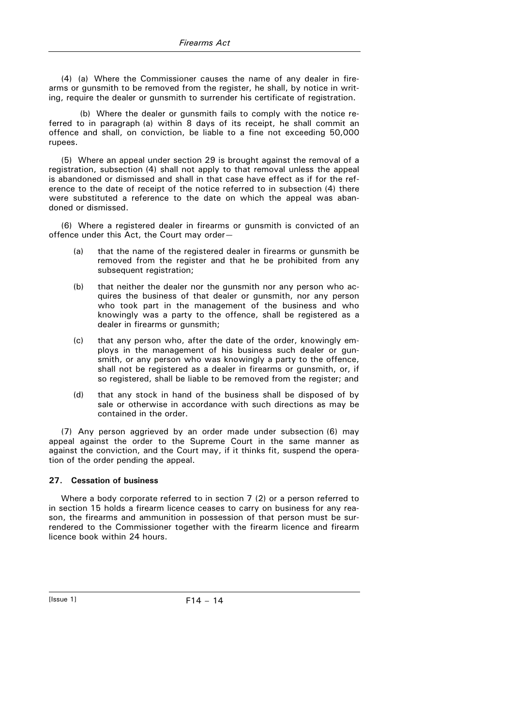(4) (a) Where the Commissioner causes the name of any dealer in firearms or gunsmith to be removed from the register, he shall, by notice in writing, require the dealer or gunsmith to surrender his certificate of registration.

(b) Where the dealer or gunsmith fails to comply with the notice referred to in paragraph (a) within 8 days of its receipt, he shall commit an offence and shall, on conviction, be liable to a fine not exceeding 50,000 rupees.

(5) Where an appeal under section 29 is brought against the removal of a registration, subsection (4) shall not apply to that removal unless the appeal is abandoned or dismissed and shall in that case have effect as if for the reference to the date of receipt of the notice referred to in subsection (4) there were substituted a reference to the date on which the appeal was abandoned or dismissed.

(6) Where a registered dealer in firearms or gunsmith is convicted of an offence under this Act, the Court may order—

- (a) that the name of the registered dealer in firearms or gunsmith be removed from the register and that he be prohibited from any subsequent registration;
- (b) that neither the dealer nor the gunsmith nor any person who acquires the business of that dealer or gunsmith, nor any person who took part in the management of the business and who knowingly was a party to the offence, shall be registered as a dealer in firearms or gunsmith;
- (c) that any person who, after the date of the order, knowingly employs in the management of his business such dealer or gunsmith, or any person who was knowingly a party to the offence, shall not be registered as a dealer in firearms or gunsmith, or, if so registered, shall be liable to be removed from the register; and
- (d) that any stock in hand of the business shall be disposed of by sale or otherwise in accordance with such directions as may be contained in the order.

(7) Any person aggrieved by an order made under subsection (6) may appeal against the order to the Supreme Court in the same manner as against the conviction, and the Court may, if it thinks fit, suspend the operation of the order pending the appeal.

### **27. Cessation of business**

Where a body corporate referred to in section 7 (2) or a person referred to in section 15 holds a firearm licence ceases to carry on business for any reason, the firearms and ammunition in possession of that person must be surrendered to the Commissioner together with the firearm licence and firearm licence book within 24 hours.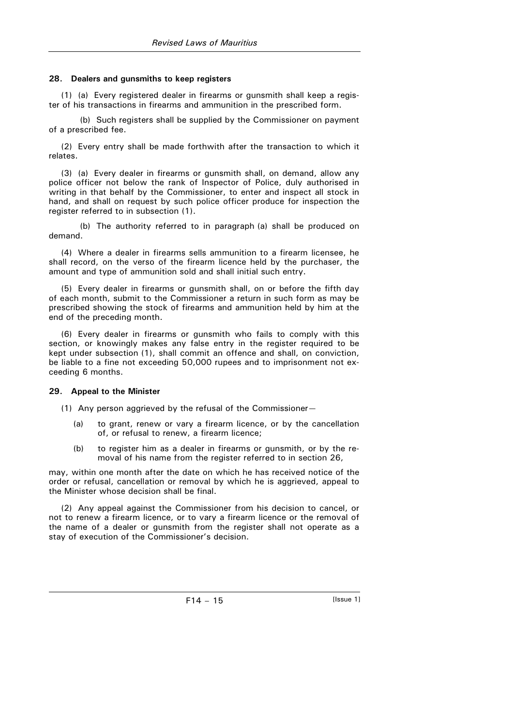### **28. Dealers and gunsmiths to keep registers**

(1) (a) Every registered dealer in firearms or gunsmith shall keep a register of his transactions in firearms and ammunition in the prescribed form.

(b) Such registers shall be supplied by the Commissioner on payment of a prescribed fee.

(2) Every entry shall be made forthwith after the transaction to which it relates.

(3) (a) Every dealer in firearms or gunsmith shall, on demand, allow any police officer not below the rank of Inspector of Police, duly authorised in writing in that behalf by the Commissioner, to enter and inspect all stock in hand, and shall on request by such police officer produce for inspection the register referred to in subsection (1).

(b) The authority referred to in paragraph (a) shall be produced on demand.

(4) Where a dealer in firearms sells ammunition to a firearm licensee, he shall record, on the verso of the firearm licence held by the purchaser, the amount and type of ammunition sold and shall initial such entry.

(5) Every dealer in firearms or gunsmith shall, on or before the fifth day of each month, submit to the Commissioner a return in such form as may be prescribed showing the stock of firearms and ammunition held by him at the end of the preceding month.

(6) Every dealer in firearms or gunsmith who fails to comply with this section, or knowingly makes any false entry in the register required to be kept under subsection (1), shall commit an offence and shall, on conviction, be liable to a fine not exceeding 50,000 rupees and to imprisonment not exceeding 6 months.

### **29. Appeal to the Minister**

(1) Any person aggrieved by the refusal of the Commissioner—

- (a) to grant, renew or vary a firearm licence, or by the cancellation of, or refusal to renew, a firearm licence;
- (b) to register him as a dealer in firearms or gunsmith, or by the removal of his name from the register referred to in section 26,

may, within one month after the date on which he has received notice of the order or refusal, cancellation or removal by which he is aggrieved, appeal to the Minister whose decision shall be final.

(2) Any appeal against the Commissioner from his decision to cancel, or not to renew a firearm licence, or to vary a firearm licence or the removal of the name of a dealer or gunsmith from the register shall not operate as a stay of execution of the Commissioner's decision.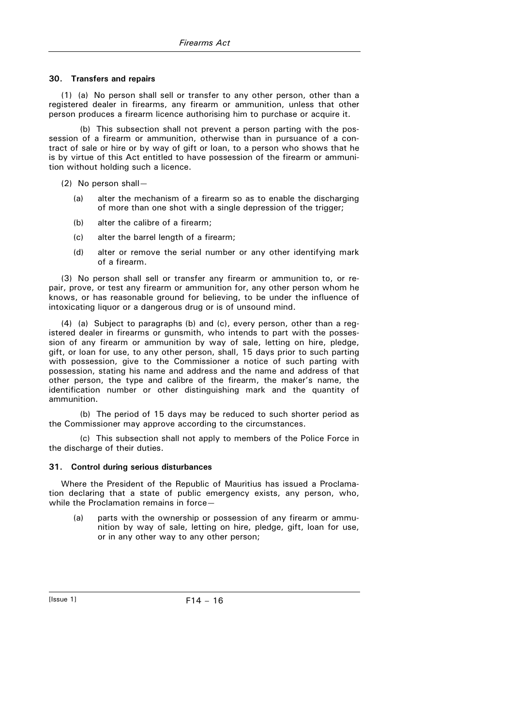#### **30. Transfers and repairs**

(1) (a) No person shall sell or transfer to any other person, other than a registered dealer in firearms, any firearm or ammunition, unless that other person produces a firearm licence authorising him to purchase or acquire it.

(b) This subsection shall not prevent a person parting with the possession of a firearm or ammunition, otherwise than in pursuance of a contract of sale or hire or by way of gift or loan, to a person who shows that he is by virtue of this Act entitled to have possession of the firearm or ammunition without holding such a licence.

(2) No person shall—

- (a) alter the mechanism of a firearm so as to enable the discharging of more than one shot with a single depression of the trigger;
- (b) alter the calibre of a firearm;
- (c) alter the barrel length of a firearm;
- (d) alter or remove the serial number or any other identifying mark of a firearm.

(3) No person shall sell or transfer any firearm or ammunition to, or repair, prove, or test any firearm or ammunition for, any other person whom he knows, or has reasonable ground for believing, to be under the influence of intoxicating liquor or a dangerous drug or is of unsound mind.

(4) (a) Subject to paragraphs (b) and (c), every person, other than a registered dealer in firearms or gunsmith, who intends to part with the possession of any firearm or ammunition by way of sale, letting on hire, pledge, gift, or loan for use, to any other person, shall, 15 days prior to such parting with possession, give to the Commissioner a notice of such parting with possession, stating his name and address and the name and address of that other person, the type and calibre of the firearm, the maker's name, the identification number or other distinguishing mark and the quantity of ammunition.

(b) The period of 15 days may be reduced to such shorter period as the Commissioner may approve according to the circumstances.

(c) This subsection shall not apply to members of the Police Force in the discharge of their duties.

### **31. Control during serious disturbances**

Where the President of the Republic of Mauritius has issued a Proclamation declaring that a state of public emergency exists, any person, who, while the Proclamation remains in force—

 (a) parts with the ownership or possession of any firearm or ammunition by way of sale, letting on hire, pledge, gift, loan for use, or in any other way to any other person;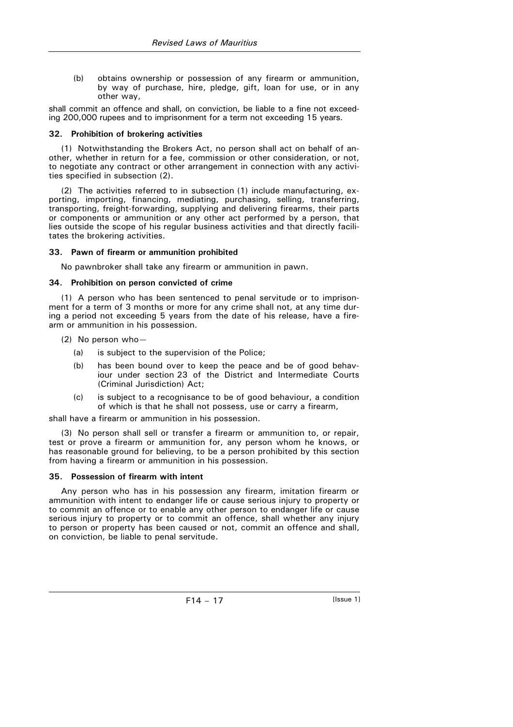(b) obtains ownership or possession of any firearm or ammunition, by way of purchase, hire, pledge, gift, loan for use, or in any other way,

shall commit an offence and shall, on conviction, be liable to a fine not exceeding 200,000 rupees and to imprisonment for a term not exceeding 15 years.

### **32. Prohibition of brokering activities**

(1) Notwithstanding the Brokers Act, no person shall act on behalf of another, whether in return for a fee, commission or other consideration, or not, to negotiate any contract or other arrangement in connection with any activities specified in subsection (2).

(2) The activities referred to in subsection (1) include manufacturing, exporting, importing, financing, mediating, purchasing, selling, transferring, transporting, freight-forwarding, supplying and delivering firearms, their parts or components or ammunition or any other act performed by a person, that lies outside the scope of his regular business activities and that directly facilitates the brokering activities.

#### **33. Pawn of firearm or ammunition prohibited**

No pawnbroker shall take any firearm or ammunition in pawn.

#### **34. Prohibition on person convicted of crime**

(1) A person who has been sentenced to penal servitude or to imprisonment for a term of 3 months or more for any crime shall not, at any time during a period not exceeding 5 years from the date of his release, have a firearm or ammunition in his possession.

- (2) No person who—
	- (a) is subject to the supervision of the Police;
	- (b) has been bound over to keep the peace and be of good behaviour under section 23 of the District and Intermediate Courts (Criminal Jurisdiction) Act;
	- (c) is subject to a recognisance to be of good behaviour, a condition of which is that he shall not possess, use or carry a firearm,

shall have a firearm or ammunition in his possession.

(3) No person shall sell or transfer a firearm or ammunition to, or repair, test or prove a firearm or ammunition for, any person whom he knows, or has reasonable ground for believing, to be a person prohibited by this section from having a firearm or ammunition in his possession.

### **35. Possession of firearm with intent**

Any person who has in his possession any firearm, imitation firearm or ammunition with intent to endanger life or cause serious injury to property or to commit an offence or to enable any other person to endanger life or cause serious injury to property or to commit an offence, shall whether any injury to person or property has been caused or not, commit an offence and shall, on conviction, be liable to penal servitude.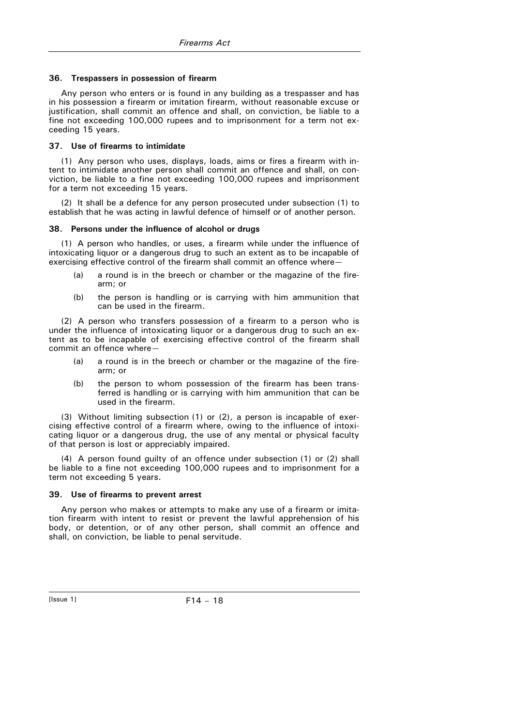#### **36. Trespassers in possession of firearm**

Any person who enters or is found in any building as a trespasser and has in his possession a firearm or imitation firearm, without reasonable excuse or justification, shall commit an offence and shall, on conviction, be liable to a fine not exceeding 100,000 rupees and to imprisonment for a term not exceeding 15 years.

#### **37. Use of firearms to intimidate**

(1) Any person who uses, displays, loads, aims or fires a firearm with intent to intimidate another person shall commit an offence and shall, on conviction, be liable to a fine not exceeding 100,000 rupees and imprisonment for a term not exceeding 15 years.

(2) It shall be a defence for any person prosecuted under subsection (1) to establish that he was acting in lawful defence of himself or of another person.

#### **38. Persons under the influence of alcohol or drugs**

(1) A person who handles, or uses, a firearm while under the influence of intoxicating liquor or a dangerous drug to such an extent as to be incapable of exercising effective control of the firearm shall commit an offence where—

- (a) a round is in the breech or chamber or the magazine of the firearm; or
- (b) the person is handling or is carrying with him ammunition that can be used in the firearm.

(2) A person who transfers possession of a firearm to a person who is under the influence of intoxicating liquor or a dangerous drug to such an extent as to be incapable of exercising effective control of the firearm shall commit an offence where—

- (a) a round is in the breech or chamber or the magazine of the firearm; or
- (b) the person to whom possession of the firearm has been transferred is handling or is carrying with him ammunition that can be used in the firearm.

(3) Without limiting subsection (1) or (2), a person is incapable of exercising effective control of a firearm where, owing to the influence of intoxicating liquor or a dangerous drug, the use of any mental or physical faculty of that person is lost or appreciably impaired.

(4) A person found guilty of an offence under subsection (1) or (2) shall be liable to a fine not exceeding 100,000 rupees and to imprisonment for a term not exceeding 5 years.

#### **39. Use of firearms to prevent arrest**

Any person who makes or attempts to make any use of a firearm or imitation firearm with intent to resist or prevent the lawful apprehension of his body, or detention, or of any other person, shall commit an offence and shall, on conviction, be liable to penal servitude.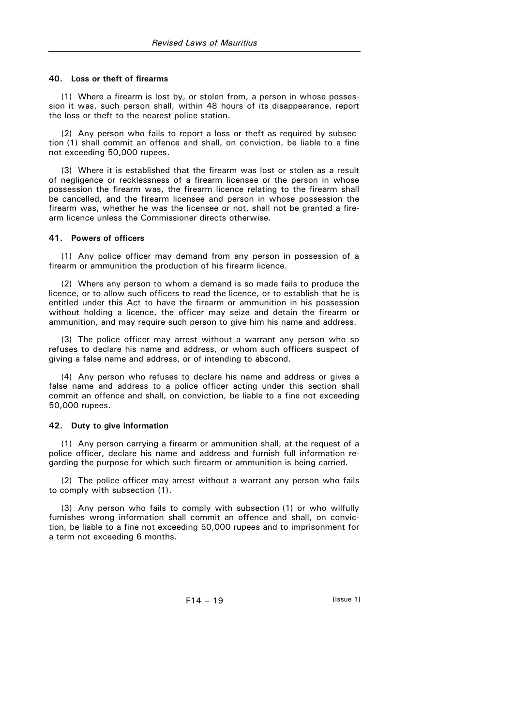### **40. Loss or theft of firearms**

(1) Where a firearm is lost by, or stolen from, a person in whose possession it was, such person shall, within 48 hours of its disappearance, report the loss or theft to the nearest police station.

(2) Any person who fails to report a loss or theft as required by subsection (1) shall commit an offence and shall, on conviction, be liable to a fine not exceeding 50,000 rupees.

(3) Where it is established that the firearm was lost or stolen as a result of negligence or recklessness of a firearm licensee or the person in whose possession the firearm was, the firearm licence relating to the firearm shall be cancelled, and the firearm licensee and person in whose possession the firearm was, whether he was the licensee or not, shall not be granted a firearm licence unless the Commissioner directs otherwise.

### **41. Powers of officers**

(1) Any police officer may demand from any person in possession of a firearm or ammunition the production of his firearm licence.

(2) Where any person to whom a demand is so made fails to produce the licence, or to allow such officers to read the licence, or to establish that he is entitled under this Act to have the firearm or ammunition in his possession without holding a licence, the officer may seize and detain the firearm or ammunition, and may require such person to give him his name and address.

(3) The police officer may arrest without a warrant any person who so refuses to declare his name and address, or whom such officers suspect of giving a false name and address, or of intending to abscond.

(4) Any person who refuses to declare his name and address or gives a false name and address to a police officer acting under this section shall commit an offence and shall, on conviction, be liable to a fine not exceeding 50,000 rupees.

### **42. Duty to give information**

(1) Any person carrying a firearm or ammunition shall, at the request of a police officer, declare his name and address and furnish full information regarding the purpose for which such firearm or ammunition is being carried.

(2) The police officer may arrest without a warrant any person who fails to comply with subsection (1).

(3) Any person who fails to comply with subsection (1) or who wilfully furnishes wrong information shall commit an offence and shall, on conviction, be liable to a fine not exceeding 50,000 rupees and to imprisonment for a term not exceeding 6 months.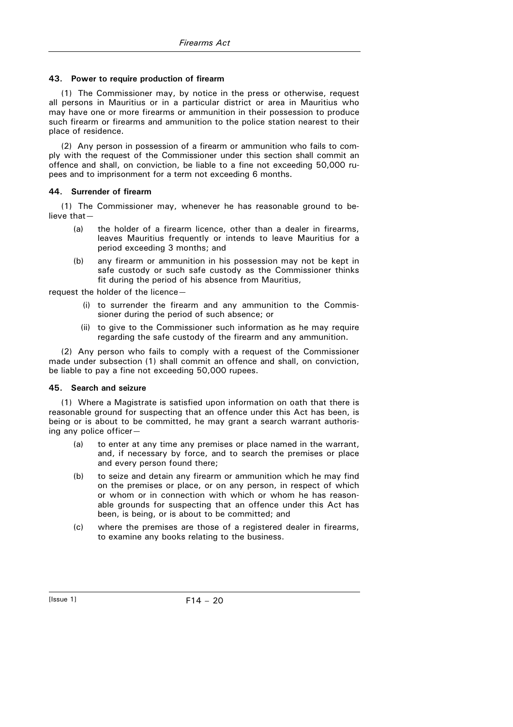### **43. Power to require production of firearm**

(1) The Commissioner may, by notice in the press or otherwise, request all persons in Mauritius or in a particular district or area in Mauritius who may have one or more firearms or ammunition in their possession to produce such firearm or firearms and ammunition to the police station nearest to their place of residence.

(2) Any person in possession of a firearm or ammunition who fails to comply with the request of the Commissioner under this section shall commit an offence and shall, on conviction, be liable to a fine not exceeding 50,000 rupees and to imprisonment for a term not exceeding 6 months.

# **44. Surrender of firearm**

(1) The Commissioner may, whenever he has reasonable ground to believe that—

- (a) the holder of a firearm licence, other than a dealer in firearms, leaves Mauritius frequently or intends to leave Mauritius for a period exceeding 3 months; and
- (b) any firearm or ammunition in his possession may not be kept in safe custody or such safe custody as the Commissioner thinks fit during the period of his absence from Mauritius,

request the holder of the licence—

- (i) to surrender the firearm and any ammunition to the Commissioner during the period of such absence; or
- (ii) to give to the Commissioner such information as he may require regarding the safe custody of the firearm and any ammunition.

(2) Any person who fails to comply with a request of the Commissioner made under subsection (1) shall commit an offence and shall, on conviction, be liable to pay a fine not exceeding 50,000 rupees.

### **45. Search and seizure**

(1) Where a Magistrate is satisfied upon information on oath that there is reasonable ground for suspecting that an offence under this Act has been, is being or is about to be committed, he may grant a search warrant authorising any police officer—

- (a) to enter at any time any premises or place named in the warrant, and, if necessary by force, and to search the premises or place and every person found there;
- (b) to seize and detain any firearm or ammunition which he may find on the premises or place, or on any person, in respect of which or whom or in connection with which or whom he has reasonable grounds for suspecting that an offence under this Act has been, is being, or is about to be committed; and
- (c) where the premises are those of a registered dealer in firearms, to examine any books relating to the business.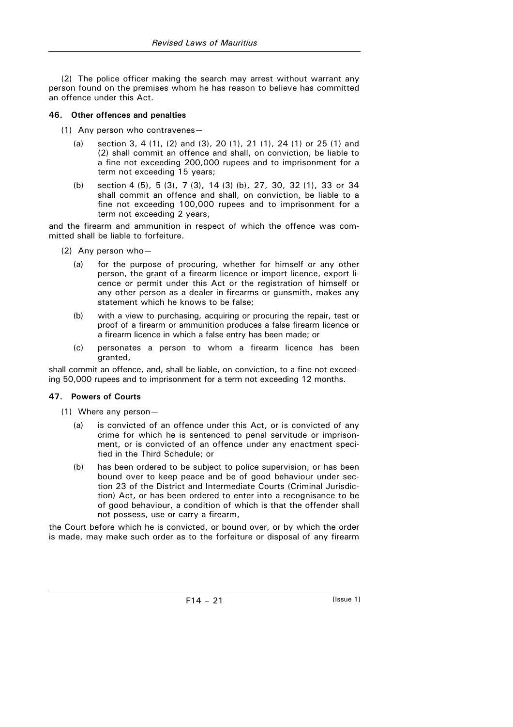(2) The police officer making the search may arrest without warrant any person found on the premises whom he has reason to believe has committed an offence under this Act.

### **46. Other offences and penalties**

- (1) Any person who contravenes—
	- (a) section 3, 4 (1), (2) and (3), 20 (1), 21 (1), 24 (1) or 25 (1) and (2) shall commit an offence and shall, on conviction, be liable to a fine not exceeding 200,000 rupees and to imprisonment for a term not exceeding 15 years;
	- (b) section 4 (5), 5 (3), 7 (3), 14 (3) (b), 27, 30, 32 (1), 33 or 34 shall commit an offence and shall, on conviction, be liable to a fine not exceeding 100,000 rupees and to imprisonment for a term not exceeding 2 years,

and the firearm and ammunition in respect of which the offence was committed shall be liable to forfeiture.

- (2) Any person who—
	- (a) for the purpose of procuring, whether for himself or any other person, the grant of a firearm licence or import licence, export licence or permit under this Act or the registration of himself or any other person as a dealer in firearms or gunsmith, makes any statement which he knows to be false;
	- (b) with a view to purchasing, acquiring or procuring the repair, test or proof of a firearm or ammunition produces a false firearm licence or a firearm licence in which a false entry has been made; or
	- (c) personates a person to whom a firearm licence has been granted,

shall commit an offence, and, shall be liable, on conviction, to a fine not exceeding 50,000 rupees and to imprisonment for a term not exceeding 12 months.

### **47. Powers of Courts**

(1) Where any person—

- (a) is convicted of an offence under this Act, or is convicted of any crime for which he is sentenced to penal servitude or imprisonment, or is convicted of an offence under any enactment specified in the Third Schedule; or
- (b) has been ordered to be subject to police supervision, or has been bound over to keep peace and be of good behaviour under section 23 of the District and Intermediate Courts (Criminal Jurisdiction) Act, or has been ordered to enter into a recognisance to be of good behaviour, a condition of which is that the offender shall not possess, use or carry a firearm,

the Court before which he is convicted, or bound over, or by which the order is made, may make such order as to the forfeiture or disposal of any firearm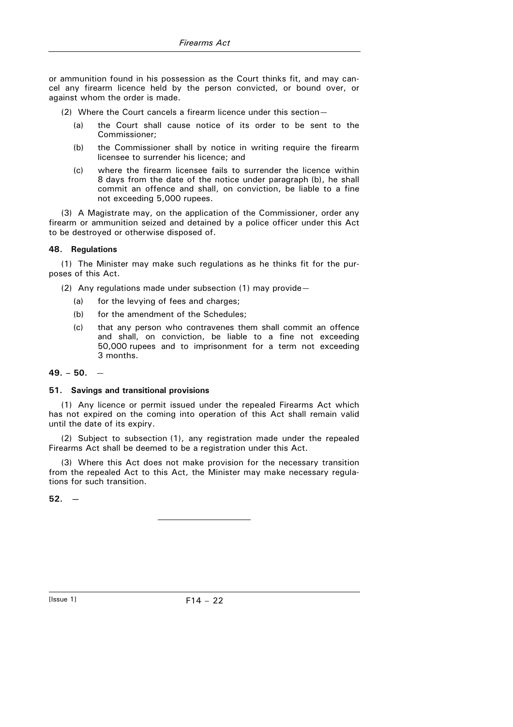or ammunition found in his possession as the Court thinks fit, and may cancel any firearm licence held by the person convicted, or bound over, or against whom the order is made.

- (2) Where the Court cancels a firearm licence under this section—
	- (a) the Court shall cause notice of its order to be sent to the Commissioner;
	- (b) the Commissioner shall by notice in writing require the firearm licensee to surrender his licence; and
	- (c) where the firearm licensee fails to surrender the licence within 8 days from the date of the notice under paragraph (b), he shall commit an offence and shall, on conviction, be liable to a fine not exceeding 5,000 rupees.

(3) A Magistrate may, on the application of the Commissioner, order any firearm or ammunition seized and detained by a police officer under this Act to be destroyed or otherwise disposed of.

### **48. Regulations**

(1) The Minister may make such regulations as he thinks fit for the purposes of this Act.

(2) Any regulations made under subsection (1) may provide—

- (a) for the levying of fees and charges;
- (b) for the amendment of the Schedules;
- (c) that any person who contravenes them shall commit an offence and shall, on conviction, be liable to a fine not exceeding 50,000 rupees and to imprisonment for a term not exceeding 3 months.

#### **49. – 50.** —

#### **51. Savings and transitional provisions**

(1) Any licence or permit issued under the repealed Firearms Act which has not expired on the coming into operation of this Act shall remain valid until the date of its expiry.

(2) Subject to subsection (1), any registration made under the repealed Firearms Act shall be deemed to be a registration under this Act.

(3) Where this Act does not make provision for the necessary transition from the repealed Act to this Act, the Minister may make necessary regulations for such transition.

 $52. -$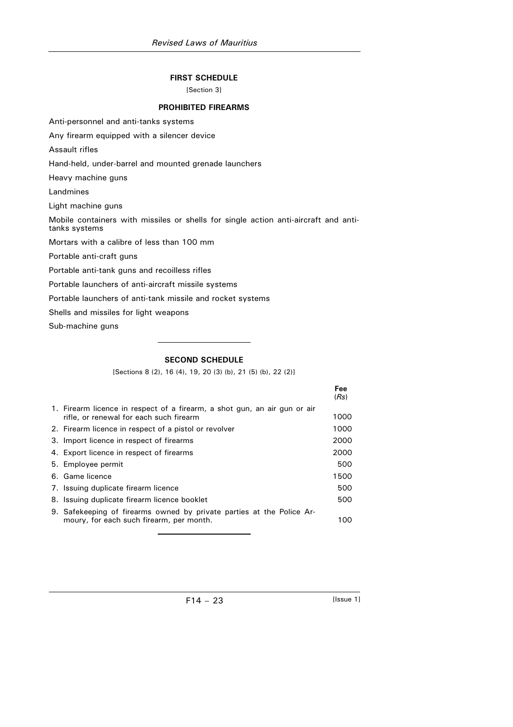# **FIRST SCHEDULE**

[Section 3]

## **PROHIBITED FIREARMS**

Anti-personnel and anti-tanks systems

Any firearm equipped with a silencer device

Assault rifles

Hand-held, under-barrel and mounted grenade launchers

Heavy machine guns

Landmines

Light machine guns

Mobile containers with missiles or shells for single action anti-aircraft and antitanks systems

Mortars with a calibre of less than 100 mm

Portable anti-craft guns

Portable anti-tank guns and recoilless rifles

Portable launchers of anti-aircraft missile systems

Portable launchers of anti-tank missile and rocket systems

Shells and missiles for light weapons

Sub-machine guns

# **SECOND SCHEDULE**

[Sections 8 (2), 16 (4), 19, 20 (3) (b), 21 (5) (b), 22 (2)]

|                                                                                                                      | Fee<br>(Rs) |
|----------------------------------------------------------------------------------------------------------------------|-------------|
| 1. Firearm licence in respect of a firearm, a shot qun, an air qun or air<br>rifle, or renewal for each such firearm | 1000        |
| 2. Firearm licence in respect of a pistol or revolver                                                                | 1000        |
| 3. Import licence in respect of firearms                                                                             | 2000        |
| 4. Export licence in respect of firearms                                                                             | 2000        |
| 5. Employee permit                                                                                                   | 500         |
| 6. Game licence                                                                                                      | 1500        |
| 7. Issuing duplicate firearm licence                                                                                 | 500         |
| 8. Issuing duplicate firearm licence booklet                                                                         | 500         |
| 9. Safekeeping of firearms owned by private parties at the Police Ar-<br>moury, for each such firearm, per month.    | 100.        |